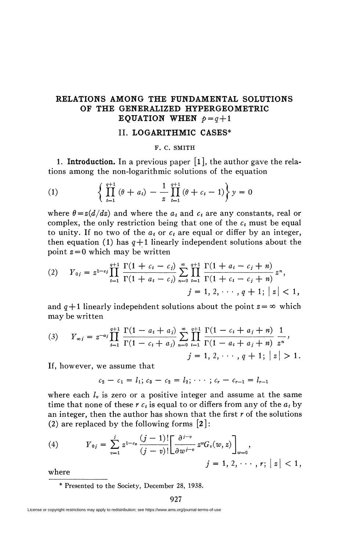## **RELATIONS AMONG THE FUNDAMENTAL SOLUTIONS OF THE GENERALIZED HYPERGEO METRIC EQUATION WHEN**  $p = q+1$

## **II. LOGARITHMIC CASES\***

## **F. C. SMITH**

**1. Introduction. In** a previous paper [l], the author gave the relations among the non-logarithmic solutions of the equation

(1) 
$$
\left\{\prod_{t=1}^{q+1} (\theta + a_t) - \frac{1}{z} \prod_{t=1}^{q+1} (\theta + c_t - 1) \right\} y = 0
$$

where  $\theta = z(d/dz)$  and where the  $a_t$  and  $c_t$  are any constants, real or complex, the only restriction being that one of the *c<sup>t</sup>* must be equal to unity. If no two of the  $a_t$  or  $c_t$  are equal or differ by an integer, then equation (1) has  $q+1$  linearly independent solutions about the point  $z = 0$  which may be written

$$
(2) \quad Y_{0j} = z^{1-cj} \prod_{t=1}^{q+1} \frac{\Gamma(1+c_t-c_j)}{\Gamma(1+a_t-c_j)} \sum_{n=0}^{\infty} \prod_{t=1}^{q+1} \frac{\Gamma(1+a_t-c_j+n)}{\Gamma(1+c_t-c_j+n)} z^n,
$$
  

$$
j = 1, 2, \cdots, q+1; |z| < 1,
$$

and  $q+1$  linearly independent solutions about the point  $z = \infty$  which may be written

(3) 
$$
Y_{\infty j} = z^{-a_j} \prod_{t=1}^{q+1} \frac{\Gamma(1 - a_t + a_j)}{\Gamma(1 - c_t + a_j)} \sum_{n=0}^{\infty} \prod_{t=1}^{q+1} \frac{\Gamma(1 - c_t + a_j + n)}{\Gamma(1 - a_t + a_j + n)} \frac{1}{z^n},
$$
  
\n $j = 1, 2, \dots, q + 1; |z| > 1.$ 

If, however, we assume that

$$
c_2 - c_1 = l_1; c_3 - c_2 = l_2; \cdots; c_r - c_{r-1} = l_{r-1}
$$

where each *lv* is zero or a positive integer and assume at the same time that none of these  $r$   $c_t$  is equal to or differs from any of the  $a_t$  by an integer, then the author has shown that the first *r* of the solutions (2) are replaced by the following forms  $[2]$ :

(4) 
$$
Y_{0j} = \sum_{v=1}^{j} z^{1-c_v} \frac{(j-1)!}{(j-v)!} \left[ \frac{\partial^{j-v}}{\partial w^{j-v}} z^w G_v(w, z) \right]_{w=0},
$$
  
  $j = 1, 2, \dots, r; |z| < 1,$ 

where

Presented to the Society, December 28, 1938.

License or copyright restrictions may apply to redistribution; see https://www.ams.org/journal-terms-of-use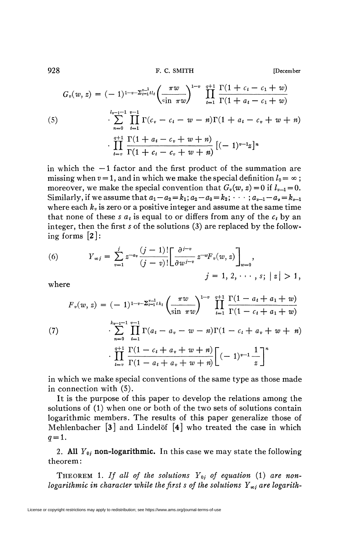928 F. C. SMITH [December]

$$
G_v(w, z) = (-1)^{1-v-\sum_{i=1}^{v-1}u_i} \left(\frac{\pi w}{\sin \pi w}\right)^{1-v} \prod_{i=1}^{q+1} \frac{\Gamma(1+c_i-c_1+w)}{\Gamma(1+a_i-c_1+w)}
$$
  
\n(5)  
\n
$$
\sum_{n=0}^{u_{v-1}-1} \prod_{i=1}^{v-1} \Gamma(c_v - c_i - w - n) \Gamma(1+a_i - c_v + w + n)
$$
  
\n
$$
\cdot \prod_{i=v}^{q+1} \frac{\Gamma(1+a_i-c_v+w+n)}{\Gamma(1+c_i-c_v+w+n)} \left[(-1)^{v-1}z\right]^n
$$

in which the  $-1$  factor and the first product of the summation are missing when  $v = 1$ , and in which we make the special definition  $l_0 = \infty$ ; moreover, we make the special convention that  $G_v(w, z) = 0$  if  $l_{v-1} = 0$ . Similarly, if we assume that  $a_1 - a_2 = k_1$ ;  $a_2 - a_3 = k_2$ ;  $\cdots$ ;  $a_{s-1} - a_s = k_{s-1}$ where each  $k_{v}$  is zero or a positive integer and assume at the same time that none of these  $s$   $a_t$  is equal to or differs from any of the  $c_t$  by an integer, then the first s of the solutions (3) are replaced by the following forms [2]:

(6) 
$$
Y_{\infty j} = \sum_{v=1}^{j} z^{-a_v} \frac{(j-1)!}{(j-v)!} \left[ \frac{\partial^{j-v}}{\partial w^{j-v}} z^{-w} F_v(w, z) \right]_{w=0},
$$

$$
j = 1, 2, \dots, s; |z| > 1,
$$

where

$$
F_v(w, z) = (-1)^{1-v-\sum_{i=1}^{v-1} t_{i}} \left(\frac{\pi w}{\sin \pi w}\right)^{1-v} \prod_{i=1}^{q+1} \frac{\Gamma(1 - a_i + a_1 + w)}{\Gamma(1 - c_i + a_1 + w)}
$$
  
\n(7) 
$$
\sum_{n=0}^{k_{v-1}-1} \prod_{t=1}^{v-1} \Gamma(a_t - a_v - w - n) \Gamma(1 - c_t + a_v + w + n)
$$
  
\n
$$
\cdot \prod_{t=v}^{q+1} \frac{\Gamma(1 - c_t + a_v + w + n)}{\Gamma(1 - a_t + a_v + w + n)} \left[ (-1)^{v-1} \frac{1}{z} \right]^n
$$

in which we make special conventions of the same type as those made in connection with (5).

It is the purpose of this paper to develop the relations among the solutions of (1) when one or both of the two sets of solutions contain logarithmic members. The results of this paper generalize those of Mehlenbacher  $\begin{bmatrix} 3 \end{bmatrix}$  and Lindelöf  $\begin{bmatrix} 4 \end{bmatrix}$  who treated the case in which  $q=1$ .

2. All  $Y_{0j}$  non-logarithmic. In this case we may state the following theorem:

THEOREM 1. If all of the solutions  $Y_{0j}$  of equation (1) are non*logarithmic in character while the first s of the solutions*  $Y_{\infty i}$  *are logarith-*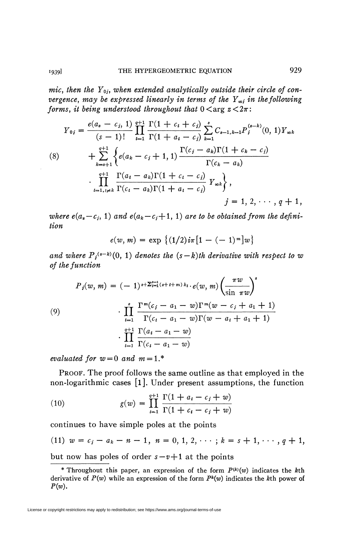mic, then the  $Y{\scriptstyle_{0j}}$ , when extended analytically outside their circle of con*vergence, may be expressed linearly in terms of the*  $Y_{\infty i}$  *in the following forms, it being understood throughout that*  $0 \leq \arg z \leq 2\pi$ :

$$
V_{0j} = \frac{e(a_s - c_j, 1)}{(s - 1)!} \prod_{t=1}^{q+1} \frac{\Gamma(1 + c_t + c_j)}{\Gamma(1 + a_t - c_j)} \sum_{k=1}^{s} C_{s-1, k-1} P_j^{(s-k)}(0, 1) Y_{\infty k}
$$
  
\n(8) 
$$
+ \sum_{k=s+1}^{q+1} \left\{ e(a_k - c_j + 1, 1) \frac{\Gamma(c_j - a_k) \Gamma(1 + c_k - c_j)}{\Gamma(c_k - a_k)} \right\}
$$
  
\n
$$
\cdot \prod_{t=1, t \neq k}^{q+1} \frac{\Gamma(a_t - a_k) \Gamma(1 + c_t - c_j)}{\Gamma(c_t - a_k) \Gamma(1 + a_t - c_j)} Y_{\infty k} \right\},
$$
  
\n
$$
j = 1, 2, \dots, q+1,
$$

*where e*( $a_s - c_j$ , 1) and  $e(a_k - c_j + 1, 1)$  are to be obtained from the defini*tion* 

 $e(w, m) = \exp \{(1/2) i\pi [1 - (-1)^m]w\}$ 

and where  $P_j^{(s-k)}(0, 1)$  denotes the  $(s - k)$ th derivative with respect to w *of the function* 

(9)  

$$
P_j(w, m) = (-1)^{s + \sum_{t=1}^{s-1} (s+t+m) k_t} \cdot e(w, m) \left(\frac{\pi w}{\sin \pi w}\right)^s
$$

$$
\cdot \prod_{t=1}^s \frac{\Gamma^m(c_j - a_1 - w) \Gamma^m(w - c_j + a_1 + 1)}{\Gamma(c_t - a_1 - w) \Gamma(w - a_t + a_1 + 1)}
$$

$$
\cdot \prod_{t=1}^{q+1} \frac{\Gamma(a_t - a_1 - w)}{\Gamma(c_t - a_1 - w)}
$$

*evaluated for*  $w = 0$  *and*  $m = 1.*$ 

PROOF. The proof follows the same outline as that employed in the non-logarithmic cases [l]. Under present assumptions, the function

(10) 
$$
g(w) = \prod_{i=1}^{q+1} \frac{\Gamma(1 + a_i - c_i + w)}{\Gamma(1 + c_i - c_i + w)}
$$

continues to have simple poles at the points

 $(11)$   $w = c_i - a_k - n - 1$ ,  $n = 0, 1, 2, \cdots$ ;  $k = s + 1, \cdots, q + 1$ ,

but now has poles of order  $s - v + 1$  at the points

<sup>\*</sup> Throughout this paper, an expression of the form  $P^{(k)}(w)$  indicates the kth derivative of  $P(w)$  while an expression of the form  $P^k(w)$  indicates the kth power of *P(w).*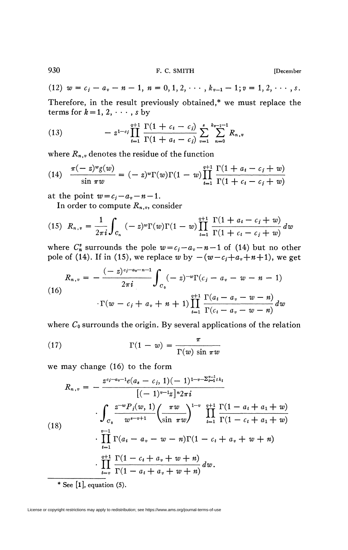(12)  $w = c_i - a_v - n - 1$ ,  $n = 0, 1, 2, \cdots, k_{v-1} - 1$ ;  $v = 1, 2, \cdots, s$ .

Therefore, in the result previously obtained,\* we must replace the terms for  $k = 1, 2, \cdots$ , s by

(13) 
$$
- z^{1-cj} \prod_{t=1}^{q+1} \frac{\Gamma(1 + c_t - c_j)}{\Gamma(1 + a_t - c_j)} \sum_{v=1}^{s} \sum_{n=0}^{k_v - 1} R_{n,v}
$$

where  $R_{n,v}$  denotes the residue of the function

(14) 
$$
\frac{\pi(-z)^{w}g(w)}{\sin \pi w} = (-z)^{w}\Gamma(w)\Gamma(1-w)\prod_{i=1}^{q+1}\frac{\Gamma(1+a_{i}-c_{i}+w)}{\Gamma(1+c_{i}-c_{i}+w)}
$$

at the point  $w = c_i - a_v - n - 1$ .

 $\sum_{n=1}^{\infty}$  The Compute  $R_{n,v}$ , consider

(15) 
$$
R_{n,v} = \frac{1}{2\pi i} \int_{C_n} (-z)^v \Gamma(w) \Gamma(1-w) \prod_{i=1}^{q+1} \frac{\Gamma(1 + a_i - c_i + w)}{\Gamma(1 + c_i - c_i + w)} dw
$$

where  $C_n^{\nu}$  surrounds the pole  $w = c_i - a_{\nu} - n - 1$  of (14) but no other If in (15), we replace w by  $-(w-c_j+a_v+n+1)$ , w

(16)  
\n
$$
R_{n,v} = -\frac{(-z)^{c_j-a_v-n-1}}{2\pi i} \int_{C_0} (-z)^{-w} \Gamma(c_j - a_v - w - n - 1)
$$
\n
$$
\Gamma(w - c_j + a_v + n + 1) \prod_{i=1}^{q+1} \frac{\Gamma(a_i - a_v - w - n)}{\Gamma(c_i - a_v - w - n)} dw
$$

ral applications of the re

(17) 
$$
\Gamma(1-w) = \frac{\pi}{\Gamma(w)\sin \pi w}
$$

we may change (16) to the form

$$
R_{n,v} = -\frac{z^{c_i-a_v-1}e(a_s-c_i, 1)(-1)^{1-v-2^{v-1}_{i-1}tk_i}}{[(-1)^{v-1}z]^n 2\pi i}
$$

$$
\cdot \int_{C_0} \frac{z^{-w}P_i(w, 1)}{w^{s-v+1}} \left(\frac{\pi w}{\sin \pi w}\right)^{1-v} \prod_{i=1}^{q+1} \frac{\Gamma(1-a_i+a_1+w)}{\Gamma(1-c_i+a_1+w)}
$$

$$
\cdot \prod_{i=1}^{v-1} \Gamma(a_i-a_v-w-n)\Gamma(1-c_i+a_v+w+n)
$$

$$
\cdot \prod_{i=v}^{q+1} \frac{\Gamma(1-c_i+a_v+w+n)}{\Gamma(1-a_i+a_v+w+n)} dw.
$$

 $See$  [1], equation (5).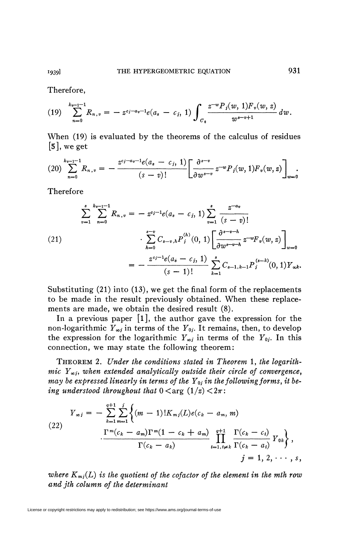Therefore,

$$
(19) \sum_{n=0}^{k_{v-1}-1} R_{n,v} = -z^{c_j-a_v-1}e(a_s-c_j, 1) \int_{C_0} \frac{z^{-w} P_j(w, 1) F_v(w, z)}{w^{s-v+1}} dw.
$$

When (19) is evaluated by the theorems of the calculus of residues [5], we get

$$
(20)\sum_{n=0}^{k_{v-1}-1}R_{n,v}=-\frac{z^{cj-a_{v}-1}e(a_{s}-c_{j},1)}{(s-v)!}\bigg[\frac{\partial^{s-v}}{\partial w^{s-v}}z^{-w}P_{j}(w,1)F_{v}(w,z)\bigg]_{w=0}.
$$

Therefore

$$
\sum_{v=1}^{s} \sum_{n=0}^{k_{v-1}-1} R_{n,v} = -z^{c_j-1} e(a_s - c_j, 1) \sum_{v=1}^{s} \frac{z^{-a_v}}{(s-v)!}
$$
\n
$$
\sum_{h=0}^{s-v} C_{s-v,h} P_j^{(h)}(0, 1) \left[ \frac{\partial^{s-v-h}}{\partial w^{s-v-h}} z^{-w} F_v(w, z) \right]_{w=0}
$$
\n
$$
= -\frac{z^{c_j-1} e(a_s - c_j, 1)}{(s-1)!} \sum_{k=1}^{s} C_{s-1,k-1} P_j^{(s-k)}(0, 1) Y_{\infty k}.
$$

Substituting (21) into (13), we get the final form of the replacements to be made in the result previously obtained. When these replacements are made, we obtain the desired result (8).

In a previous paper  $\lceil 1 \rceil$ , the author gave the expression for the non-logarithmic  $Y_{\infty i}$  in terms of the  $Y_{0i}$ . It remains, then, to develop the expression for the logarithmic  $Y_{\infty i}$  in terms of the  $Y_{0i}$ . In this connection, we may state the following theorem:

THEOREM 2. *Under the conditions stated in Theorem* 1, *the logarithmic*  $Y_{\infty i}$ , when extended analytically outside their circle of convergence, *may be expressed linearly in terms of the*  $Y_{0i}$  *in the following forms, it being understood throughout that*  $0 \leq \arg (1/z) \leq 2\pi$ :

(22)  

$$
Y_{\infty i} = -\sum_{k=1}^{q+1} \sum_{m=1}^{j} \left\{ (m-1)! K_{mj}(L) e(c_k - a_m, m) - \frac{\Gamma^m(c_k - a_m) \Gamma^m (1 - c_k + a_m)}{\Gamma(c_k - a_k)} \prod_{i=1, i \neq k}^{q+1} \frac{\Gamma(c_k - c_i)}{\Gamma(c_k - a_i)} Y_{0k} \right\},
$$

$$
j = 1, 2, \cdots, s,
$$

where  $K_{mj}(L)$  is the quotient of the cofactor of the element in the mth row *and jth column of the determinant*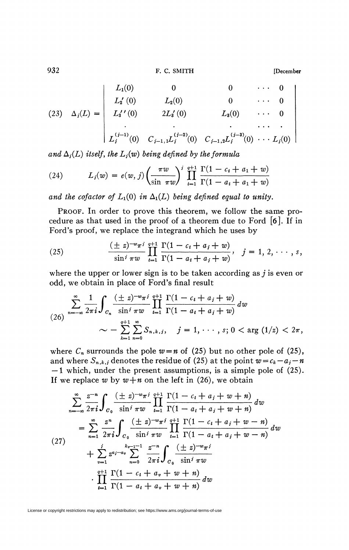932 **F. C. SMITH [December** 

$$
(23) \quad \Delta_j(L) = \begin{vmatrix} L_1(0) & 0 & 0 & \cdots & 0 \\ L_2'(0) & L_2(0) & 0 & \cdots & 0 \\ L_3'(0) & 2L_3'(0) & L_3(0) & \cdots & 0 \\ \vdots & \vdots & \ddots & \vdots & \ddots & \vdots \\ L_j^{(j-1)}(0) & C_{j-1,1}L_j^{(j-2)}(0) & C_{j-1,2}L_j^{(j-3)}(0) & \cdots & L_j(0) \end{vmatrix}
$$

and  $\Delta_i(L)$  itself, the  $L_i(w)$  being defined by the formula

(24) 
$$
L_j(w) = e(w, j) \left(\frac{\pi w}{\sin \pi w}\right)^j \prod_{t=1}^{q+1} \frac{\Gamma(1 - c_t + a_1 + w)}{\Gamma(1 - a_t + a_1 + w)}
$$

and the cofactor of  $L_1(0)$  in  $\Delta_1(L)$  being defined equal to unity.

PROOF. In order to prove this theorem, we follow the same procedure as that used in the proof of a theorem due to Ford [ó]. If in Ford's proof, we replace the integrand which he uses by

(25) 
$$
\frac{(\pm z)^{-w}\pi^j}{\sin^j \pi w} \prod_{t=1}^{q+1} \frac{\Gamma(1-c_t+a_j+w)}{\Gamma(1-a_t+a_j+w)}, \quad j=1, 2, \cdots, s,
$$

where the upper or lower sign is to be taken according as *j* is even or odd, we obtain in place of Ford's final result

$$
\sum_{n=-\infty}^{\infty} \frac{1}{2\pi i} \int_{C_n} \frac{(\pm z)^{-w} \pi^j}{\sin^j \pi w} \prod_{t=1}^{q+1} \frac{\Gamma(1 - c_t + a_j + w)}{\Gamma(1 - a_t + a_j + w)} dw
$$
  

$$
\sim - \sum_{k=1}^{q+1} \sum_{n=0}^{\infty} S_{n,k,j}, \quad j = 1, \cdots, s; 0 < \arg(1/z) < 2\pi,
$$

where  $C_n$  surrounds the pole  $w = n$  of (25) but no other pole of (25), and where  $S_{n,k,j}$  denotes the residue of (25) at the point  $w = c_k - a_j - n$  $-1$  which, under the present assumptions, is a simple pole of  $(25)$ . If we replace  $w$  by  $w+n$  on the left in (26), we obtain

$$
\sum_{n=-\infty}^{\infty} \frac{z^{-n}}{2\pi i} \int_{C_0} \frac{(\pm z)^{-w} \pi^j}{\sin^j \pi w} \prod_{t=1}^{q+1} \frac{\Gamma(1 - c_t + a_j + w + n)}{\Gamma(1 - a_t + a_j + w + n)} dw
$$
  
\n
$$
= \sum_{n=1}^{\infty} \frac{z^n}{2\pi i} \int_{C_0} \frac{(\pm z)^{-w} \pi^j}{\sin^j \pi w} \prod_{t=1}^{q+1} \frac{\Gamma(1 - c_t + a_j + w - n)}{\Gamma(1 - a_t + a_j + w - n)} dw
$$
  
\n
$$
+ \sum_{v=1}^j z^{a_j - a_v} \sum_{n=0}^{k_v - 1} \frac{z^{-n}}{2\pi i} \int_{C_0} \frac{(\pm z)^{-w} \pi^j}{\sin^j \pi w} dw
$$
  
\n
$$
\cdot \prod_{t=1}^{q+1} \frac{\Gamma(1 - c_t + a_v + w + n)}{\Gamma(1 - a_t + a_v + w + n)} dw
$$

License or copyright restrictions may apply to redistribution; see https://www.ams.org/journal-terms-of-use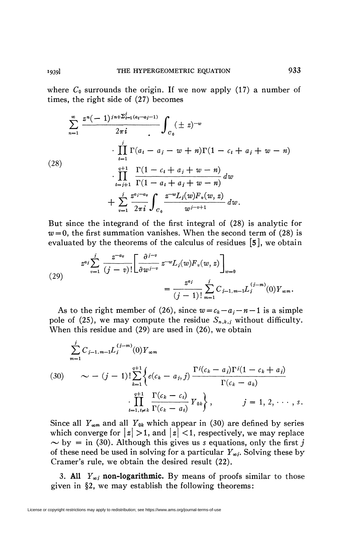where  $C_0$  surrounds the origin. If we now apply  $(17)$  a number of times, the right side of (27) becomes

(28)  

$$
\sum_{n=1}^{\infty} \frac{z^n (-1)^{j n + \sum_{i=1}^{j} (a_i - a_j - 1)}}{2 \pi i} \int_{C_0} ( \pm z)^{-w} \cdot \prod_{i=1}^j \Gamma(a_i - a_i - w + n) \Gamma(1 - c_i + a_j + w - n)
$$
  

$$
\cdot \prod_{i=j+1}^{q+1} \frac{\Gamma(1 - c_i + a_j + w - n)}{\Gamma(1 - a_i + a_j + w - n)} dw + \sum_{v=1}^j \frac{z^{a_j - a_v}}{2 \pi i} \int_{C_0} \frac{z^{-w} L_j(w) F_v(w, z)}{w^{j-v+1}} dw.
$$

But since the integrand of the first integral of (28) is analytic for  $w=0$ , the first summation vanishes. When the second term of  $(28)$  is evaluated by the theorems of the calculus of residues [5], we obtain

(29) 
$$
z^{a_j} \sum_{v=1}^j \frac{z^{-a_v}}{(j-v)!} \left[ \frac{\partial^{j-v}}{\partial w^{j-v}} z^{-w} L_j(w) F_v(w, z) \right]_{w=0}
$$

$$
= \frac{z^{a_j}}{(j-1)!} \sum_{m=1}^j C_{j-1, m-1} L_j^{(j-m)}(0) Y_{\infty m}.
$$

As to the right member of (26), since  $w = c_k - a_j - n - 1$  is a simple pole of (25), we may compute the residue  $S_{n,k,j}$  without difficulty. When this residue and (29) are used in (26), we obtain

$$
\sum_{m=1}^{j} C_{j-1,m-1} L_j^{(j-m)}(0) Y_{\infty m}
$$
\n(30) 
$$
\sim - (j-1)! \sum_{k=1}^{q+1} \left\{ e(c_k - a_j, j) \frac{\Gamma^j(c_k - a_j) \Gamma^j(1 - c_k + a_j)}{\Gamma(c_k - a_k)} \right\} \cdot \prod_{i=1, i \neq k}^{q+1} \frac{\Gamma(c_k - c_i)}{\Gamma(c_k - a_i)} Y_{0k} \right\}, \qquad j = 1, 2, \cdots, s.
$$

Since all  $Y_{\infty m}$  and all  $Y_{0k}$  which appear in (30) are defined by series which converge for  $|z| > 1$ , and  $|z| < 1$ , respectively, we may replace  $\sim$  by = in (30). Although this gives us s equations, only the first j of these need be used in solving for a particular  $Y_{\infty i}$ . Solving these by Cramer's rule, we obtain the desired result (22).

3. All  $Y_{\infty i}$  non-logarithmic. By means of proofs similar to those given in §2, we may establish the following theorems: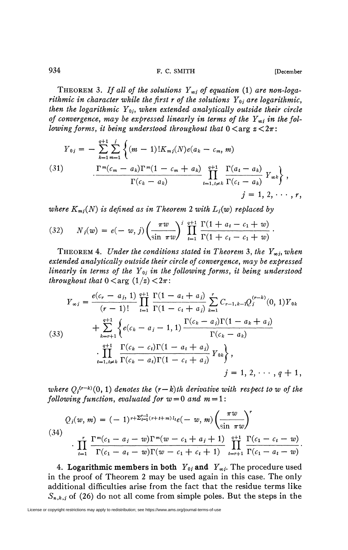THEOREM 3. If all of the solutions  $Y_{\infty i}$  of equation (1) are non-loga*rithmic in character while the first r of the solutions*  $Y_{0i}$  are logarithmic, *then the logarithmic*  $Y_{0i}$ *, when extended analytically outside their circle* of convergence, may be expressed linearly in terms of the  $Y_{\infty i}$  in the fol*lowing forms, it being understood throughout that*  $0 < arg z < 2\pi$ :

(31)  

$$
Y_{0j} = -\sum_{k=1}^{q+1} \sum_{m=1}^{j} \left\{ (m-1)! K_{mj}(N) e(a_k - c_m, m) \right\}
$$

$$
\cdot \frac{\Gamma^m(c_m - a_k) \Gamma^m (1 - c_m + a_k)}{\Gamma(c_k - a_k)} \prod_{t=1, t \neq k}^{q+1} \frac{\Gamma(a_t - a_k)}{\Gamma(c_t - a_k)} Y_{\infty k} \right\},
$$

$$
j = 1, 2, \cdots, r,
$$

*where*  $K_{mi}(N)$  *is defined as in Theorem 2 with*  $L_i(w)$  *replaced by* 

(32) 
$$
N_i(w) = e(-w, j) \left(\frac{\pi w}{\sin \pi w}\right)^i \prod_{t=1}^{q+1} \frac{\Gamma(1 + a_t - c_1 + w)}{\Gamma(1 + c_t - c_1 + w)}
$$

THEOREM 4. Under the conditions stated in Theorem 3, the  $Y_{\infty i}$ , when *extended analytically outside their circle of convergence, may be expressed linearly in terms of the* Foy *in the following forms, it being understood throughout that*  $0 \leq arg(1/z) \leq 2\pi$ :

$$
Y_{\infty j} = \frac{e(c_r - a_j, 1)}{(r - 1)!} \prod_{i=1}^{q+1} \frac{\Gamma(1 - a_i + a_j)}{\Gamma(1 - c_i + a_j)} \sum_{k=1}^r C_{r-1, k-1} Q_j^{(r-k)}(0, 1) Y_{0k} + \sum_{k=r+1}^{q+1} \left\{ e(c_k - a_j - 1, 1) \frac{\Gamma(c_k - a_j) \Gamma(1 - a_k + a_j)}{\Gamma(c_k - a_k)} \right\} + \prod_{t=1, t \neq k}^{q+1} \frac{\Gamma(c_k - c_t) \Gamma(1 - a_t + a_j)}{\Gamma(c_k - a_t) \Gamma(1 - c_t + a_j)} Y_{0k} \right\},
$$
  
 $j = 1, 2, \dots, q+1,$ 

where  $Q_i^{(r-k)}(0, 1)$  denotes the  $(r-k)$ th derivative with respect to w of the *following function, evaluated for*  $w = 0$  *and*  $m = 1$ :

$$
Q_i(w, m) = (-1)^{r + \sum_{i=1}^{r-1} (r + i + m)l_i} e(-w, m) \left(\frac{\pi w}{\sin \pi w}\right)^r
$$
  
(34)
$$
\cdot \prod_{i=1}^r \frac{\Gamma^m(c_1 - a_i - w)\Gamma^m(w - c_1 + a_i + 1)}{\Gamma(c_1 - a_i - w)\Gamma(w - c_1 + c_i + 1)} \prod_{t=r+1}^{q+1} \frac{\Gamma(c_1 - c_t - w)}{\Gamma(c_1 - a_t - w)}
$$

4. **Logarithmic members in both**  $Y_{0i}$  and  $Y_{\infty i}$ . The procedure used in the proof of Theorem 2 may be used again in this case. The only additional difficulties arise from the fact that the residue terms like  $S_{n,k,j}$  of (26) do not all come from simple poles. But the steps in the